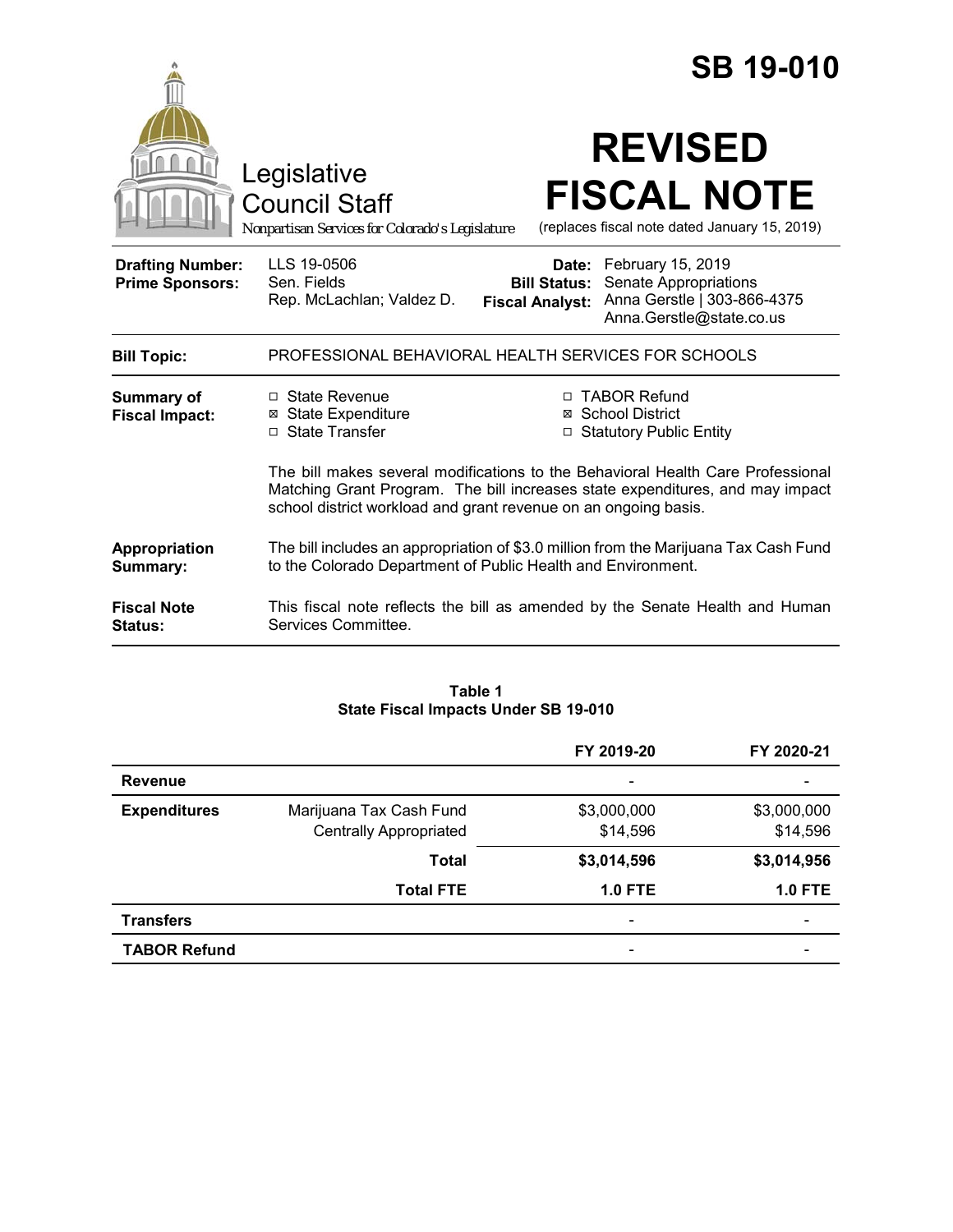|                                                   |                                                                                                                                                                                                                                     | <b>SB 19-010</b>                                                                                                                                                |  |
|---------------------------------------------------|-------------------------------------------------------------------------------------------------------------------------------------------------------------------------------------------------------------------------------------|-----------------------------------------------------------------------------------------------------------------------------------------------------------------|--|
|                                                   | Legislative<br><b>Council Staff</b><br>Nonpartisan Services for Colorado's Legislature                                                                                                                                              | <b>REVISED</b><br><b>FISCAL NOTE</b><br>(replaces fiscal note dated January 15, 2019)                                                                           |  |
| <b>Drafting Number:</b><br><b>Prime Sponsors:</b> | LLS 19-0506<br>Sen. Fields<br>Rep. McLachlan; Valdez D.                                                                                                                                                                             | February 15, 2019<br>Date:<br>Senate Appropriations<br><b>Bill Status:</b><br>Anna Gerstle   303-866-4375<br><b>Fiscal Analyst:</b><br>Anna.Gerstle@state.co.us |  |
| <b>Bill Topic:</b>                                | PROFESSIONAL BEHAVIORAL HEALTH SERVICES FOR SCHOOLS                                                                                                                                                                                 |                                                                                                                                                                 |  |
| <b>Summary of</b><br><b>Fiscal Impact:</b>        | □ State Revenue<br><b>⊠</b> State Expenditure<br>□ State Transfer                                                                                                                                                                   | □ TABOR Refund<br>⊠ School District<br>□ Statutory Public Entity                                                                                                |  |
|                                                   | The bill makes several modifications to the Behavioral Health Care Professional<br>Matching Grant Program. The bill increases state expenditures, and may impact<br>school district workload and grant revenue on an ongoing basis. |                                                                                                                                                                 |  |
| Appropriation<br>Summary:                         | The bill includes an appropriation of \$3.0 million from the Marijuana Tax Cash Fund<br>to the Colorado Department of Public Health and Environment.                                                                                |                                                                                                                                                                 |  |
| <b>Fiscal Note</b><br><b>Status:</b>              | Services Committee.                                                                                                                                                                                                                 | This fiscal note reflects the bill as amended by the Senate Health and Human                                                                                    |  |

#### **Table 1 State Fiscal Impacts Under SB 19-010**

|                     |                               | FY 2019-20               | FY 2020-21               |
|---------------------|-------------------------------|--------------------------|--------------------------|
| <b>Revenue</b>      |                               | $\overline{\phantom{0}}$ |                          |
| <b>Expenditures</b> | Marijuana Tax Cash Fund       | \$3,000,000              | \$3,000,000              |
|                     | <b>Centrally Appropriated</b> | \$14,596                 | \$14,596                 |
|                     | <b>Total</b>                  | \$3,014,596              | \$3,014,956              |
|                     | <b>Total FTE</b>              | <b>1.0 FTE</b>           | $1.0$ FTE                |
| <b>Transfers</b>    |                               | $\overline{\phantom{0}}$ | $\overline{\phantom{0}}$ |
| <b>TABOR Refund</b> |                               | -                        |                          |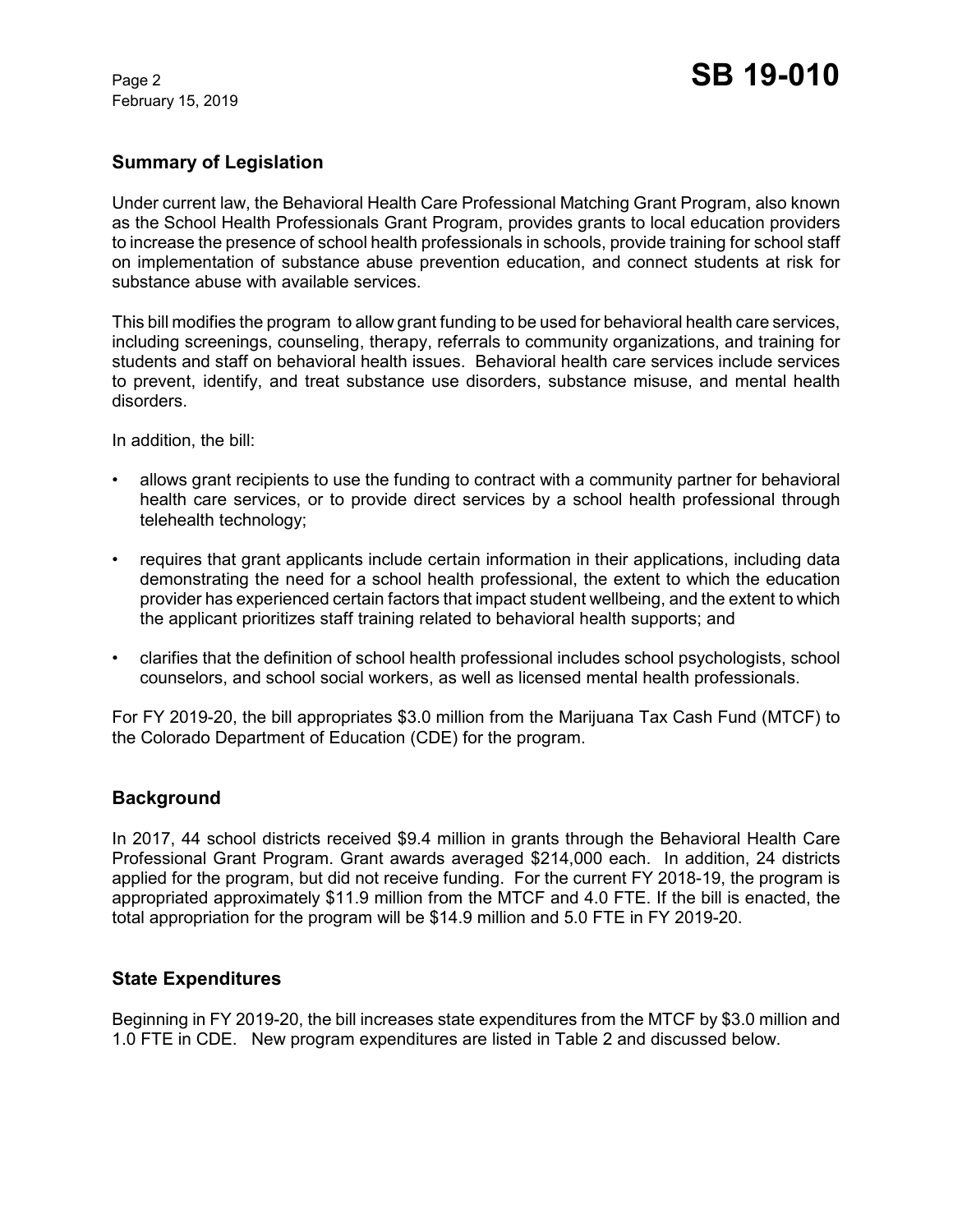February 15, 2019

### **Summary of Legislation**

Under current law, the Behavioral Health Care Professional Matching Grant Program, also known as the School Health Professionals Grant Program, provides grants to local education providers to increase the presence of school health professionals in schools, provide training for school staff on implementation of substance abuse prevention education, and connect students at risk for substance abuse with available services.

This bill modifies the program to allow grant funding to be used for behavioral health care services, including screenings, counseling, therapy, referrals to community organizations, and training for students and staff on behavioral health issues. Behavioral health care services include services to prevent, identify, and treat substance use disorders, substance misuse, and mental health disorders.

In addition, the bill:

- allows grant recipients to use the funding to contract with a community partner for behavioral health care services, or to provide direct services by a school health professional through telehealth technology;
- requires that grant applicants include certain information in their applications, including data demonstrating the need for a school health professional, the extent to which the education provider has experienced certain factors that impact student wellbeing, and the extent to which the applicant prioritizes staff training related to behavioral health supports; and
- clarifies that the definition of school health professional includes school psychologists, school counselors, and school social workers, as well as licensed mental health professionals.

For FY 2019-20, the bill appropriates \$3.0 million from the Marijuana Tax Cash Fund (MTCF) to the Colorado Department of Education (CDE) for the program.

### **Background**

In 2017, 44 school districts received \$9.4 million in grants through the Behavioral Health Care Professional Grant Program. Grant awards averaged \$214,000 each. In addition, 24 districts applied for the program, but did not receive funding. For the current FY 2018-19, the program is appropriated approximately \$11.9 million from the MTCF and 4.0 FTE. If the bill is enacted, the total appropriation for the program will be \$14.9 million and 5.0 FTE in FY 2019-20.

### **State Expenditures**

Beginning in FY 2019-20, the bill increases state expenditures from the MTCF by \$3.0 million and 1.0 FTE in CDE. New program expenditures are listed in Table 2 and discussed below.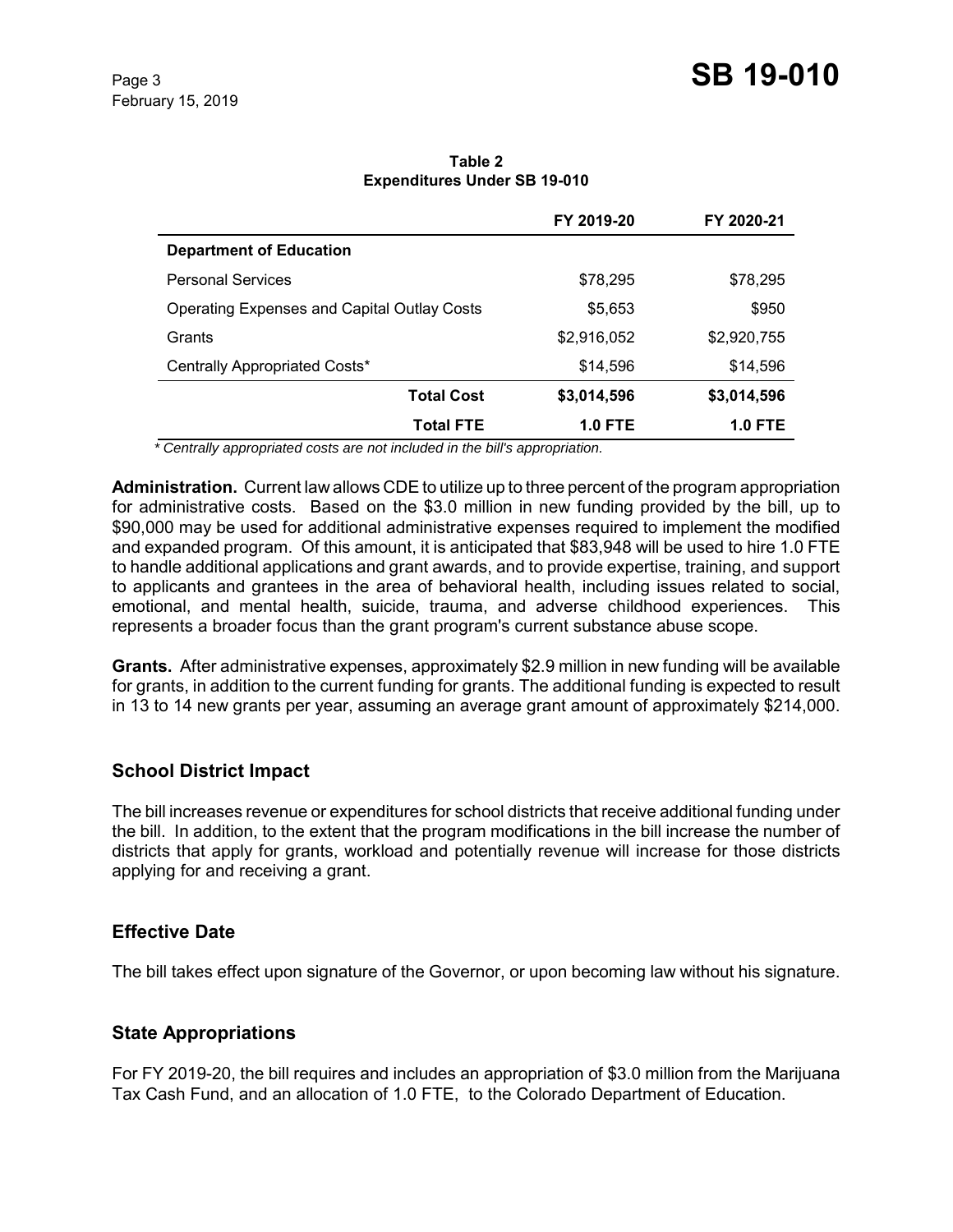|                                             | FY 2019-20     | FY 2020-21     |
|---------------------------------------------|----------------|----------------|
| <b>Department of Education</b>              |                |                |
| Personal Services                           | \$78,295       | \$78,295       |
| Operating Expenses and Capital Outlay Costs | \$5,653        | \$950          |
| Grants                                      | \$2,916,052    | \$2,920,755    |
| Centrally Appropriated Costs*               | \$14,596       | \$14,596       |
| <b>Total Cost</b>                           | \$3,014,596    | \$3,014,596    |
| <b>Total FTE</b>                            | <b>1.0 FTE</b> | <b>1.0 FTE</b> |

**Table 2 Expenditures Under SB 19-010**

 *\* Centrally appropriated costs are not included in the bill's appropriation.*

**Administration.** Current law allows CDE to utilize up to three percent of the program appropriation for administrative costs. Based on the \$3.0 million in new funding provided by the bill, up to \$90,000 may be used for additional administrative expenses required to implement the modified and expanded program. Of this amount, it is anticipated that \$83,948 will be used to hire 1.0 FTE to handle additional applications and grant awards, and to provide expertise, training, and support to applicants and grantees in the area of behavioral health, including issues related to social, emotional, and mental health, suicide, trauma, and adverse childhood experiences. This represents a broader focus than the grant program's current substance abuse scope.

**Grants.** After administrative expenses, approximately \$2.9 million in new funding will be available for grants, in addition to the current funding for grants. The additional funding is expected to result in 13 to 14 new grants per year, assuming an average grant amount of approximately \$214,000.

### **School District Impact**

The bill increases revenue or expenditures for school districts that receive additional funding under the bill. In addition, to the extent that the program modifications in the bill increase the number of districts that apply for grants, workload and potentially revenue will increase for those districts applying for and receiving a grant.

### **Effective Date**

The bill takes effect upon signature of the Governor, or upon becoming law without his signature.

# **State Appropriations**

For FY 2019-20, the bill requires and includes an appropriation of \$3.0 million from the Marijuana Tax Cash Fund, and an allocation of 1.0 FTE, to the Colorado Department of Education.